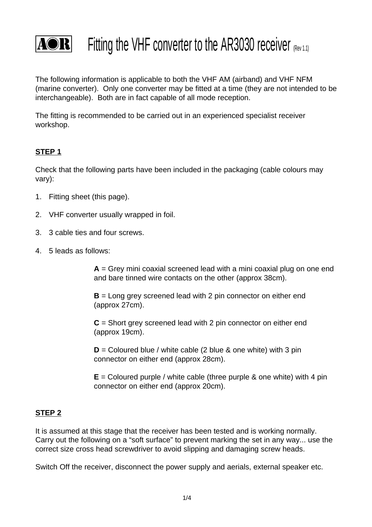

**AOR** Fitting the VHF converter to the AR3030 receiver  $(Res(1.1))$ 

The following information is applicable to both the VHF AM (airband) and VHF NFM (marine converter). Only one converter may be fitted at a time (they are not intended to be interchangeable). Both are in fact capable of all mode reception.

The fitting is recommended to be carried out in an experienced specialist receiver workshop.

#### **STEP 1**

Check that the following parts have been included in the packaging (cable colours may vary):

- 1. Fitting sheet (this page).
- 2. VHF converter usually wrapped in foil.
- 3. 3 cable ties and four screws.
- 4. 5 leads as follows:

**A** = Grey mini coaxial screened lead with a mini coaxial plug on one end and bare tinned wire contacts on the other (approx 38cm).

**B** = Long grey screened lead with 2 pin connector on either end (approx 27cm).

**C** = Short grey screened lead with 2 pin connector on either end (approx 19cm).

 $D =$  Coloured blue / white cable (2 blue & one white) with 3 pin connector on either end (approx 28cm).

**E** = Coloured purple / white cable (three purple & one white) with 4 pin connector on either end (approx 20cm).

#### **STEP 2**

It is assumed at this stage that the receiver has been tested and is working normally. Carry out the following on a "soft surface" to prevent marking the set in any way... use the correct size cross head screwdriver to avoid slipping and damaging screw heads.

Switch Off the receiver, disconnect the power supply and aerials, external speaker etc.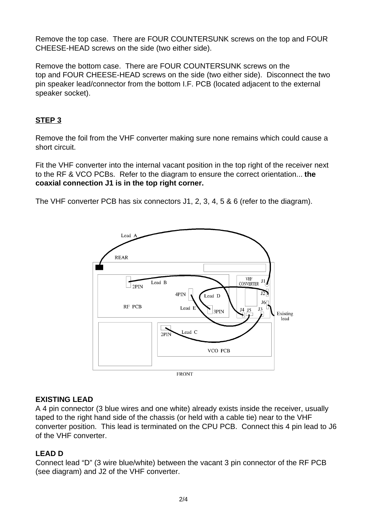Remove the top case. There are FOUR COUNTERSUNK screws on the top and FOUR CHEESE-HEAD screws on the side (two either side).

Remove the bottom case. There are FOUR COUNTERSUNK screws on the top and FOUR CHEESE-HEAD screws on the side (two either side). Disconnect the two pin speaker lead/connector from the bottom I.F. PCB (located adjacent to the external speaker socket).

## **STEP 3**

Remove the foil from the VHF converter making sure none remains which could cause a short circuit.

Fit the VHF converter into the internal vacant position in the top right of the receiver next to the RF & VCO PCBs. Refer to the diagram to ensure the correct orientation... **the coaxial connection J1 is in the top right corner.**

The VHF converter PCB has six connectors J1, 2, 3, 4, 5 & 6 (refer to the diagram).



#### **EXISTING LEAD**

A 4 pin connector (3 blue wires and one white) already exists inside the receiver, usually taped to the right hand side of the chassis (or held with a cable tie) near to the VHF converter position. This lead is terminated on the CPU PCB. Connect this 4 pin lead to J6 of the VHF converter.

#### **LEAD D**

Connect lead "D" (3 wire blue/white) between the vacant 3 pin connector of the RF PCB (see diagram) and J2 of the VHF converter.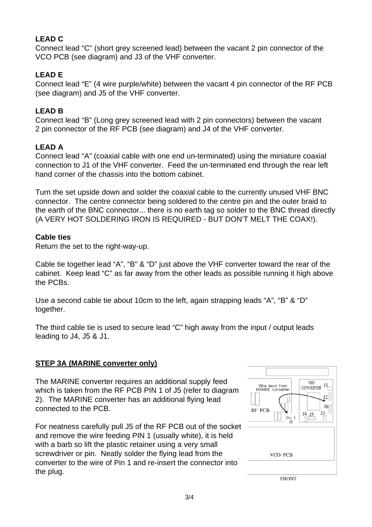## **LEAD C**

Connect lead "C" (short grey screened lead) between the vacant 2 pin connector of the VCO PCB (see diagram) and J3 of the VHF converter.

## **LEAD E**

Connect lead "E" (4 wire purple/white) between the vacant 4 pin connector of the RF PCB (see diagram) and J5 of the VHF converter.

### **LEAD B**

Connect lead "B" (Long grey screened lead with 2 pin connectors) between the vacant 2 pin connector of the RF PCB (see diagram) and J4 of the VHF converter.

#### **LEAD A**

Connect lead "A" (coaxial cable with one end un-terminated) using the miniature coaxial connection to J1 of the VHF converter. Feed the un-terminated end through the rear left hand corner of the chassis into the bottom cabinet.

Turn the set upside down and solder the coaxial cable to the currently unused VHF BNC connector. The centre connector being soldered to the centre pin and the outer braid to the earth of the BNC connector... there is no earth tag so solder to the BNC thread directly (A VERY HOT SOLDERING IRON IS REQUIRED - BUT DON'T MELT THE COAX!).

#### **Cable ties**

Return the set to the right-way-up.

Cable tie together lead "A", "B" & "D" just above the VHF converter toward the rear of the cabinet. Keep lead "C" as far away from the other leads as possible running it high above the PCBs.

Use a second cable tie about 10cm to the left, again strapping leads "A", "B" & "D" together.

The third cable tie is used to secure lead "C" high away from the input / output leads leading to J4, J5 & J1.

#### **STEP 3A (MARINE converter only)**

The MARINE converter requires an additional supply feed which is taken from the RF PCB PIN 1 of J5 (refer to diagram 2). The MARINE converter has an additional flying lead connected to the PCB.

For neatness carefully pull J5 of the RF PCB out of the socket and remove the wire feeding PIN 1 (usually white), it is held with a barb so lift the plastic retainer using a very small screwdriver or pin. Neatly solder the flying lead from the converter to the wire of Pin 1 and re-insert the connector into the plug.



**FRONT**